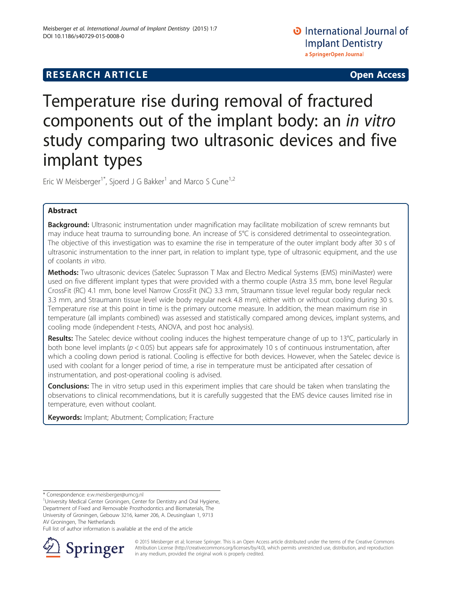## **RESEARCH ARTICLE Example 2014 CONSUMING A RESEARCH ARTICLE**

Temperature rise during removal of fractured components out of the implant body: an in vitro study comparing two ultrasonic devices and five implant types

Eric W Meisberger<sup>1\*</sup>, Sjoerd J G Bakker<sup>1</sup> and Marco S Cune<sup>1,2</sup>

## Abstract

Background: Ultrasonic instrumentation under magnification may facilitate mobilization of screw remnants but may induce heat trauma to surrounding bone. An increase of 5°C is considered detrimental to osseointegration. The objective of this investigation was to examine the rise in temperature of the outer implant body after 30 s of ultrasonic instrumentation to the inner part, in relation to implant type, type of ultrasonic equipment, and the use of coolants in vitro.

Methods: Two ultrasonic devices (Satelec Suprasson T Max and Electro Medical Systems (EMS) miniMaster) were used on five different implant types that were provided with a thermo couple (Astra 3.5 mm, bone level Regular CrossFit (RC) 4.1 mm, bone level Narrow CrossFit (NC) 3.3 mm, Straumann tissue level regular body regular neck 3.3 mm, and Straumann tissue level wide body regular neck 4.8 mm), either with or without cooling during 30 s. Temperature rise at this point in time is the primary outcome measure. In addition, the mean maximum rise in temperature (all implants combined) was assessed and statistically compared among devices, implant systems, and cooling mode (independent t-tests, ANOVA, and post hoc analysis).

Results: The Satelec device without cooling induces the highest temperature change of up to 13°C, particularly in both bone level implants ( $p < 0.05$ ) but appears safe for approximately 10 s of continuous instrumentation, after which a cooling down period is rational. Cooling is effective for both devices. However, when the Satelec device is used with coolant for a longer period of time, a rise in temperature must be anticipated after cessation of instrumentation, and post-operational cooling is advised.

**Conclusions:** The in vitro setup used in this experiment implies that care should be taken when translating the observations to clinical recommendations, but it is carefully suggested that the EMS device causes limited rise in temperature, even without coolant.

Keywords: Implant; Abutment; Complication; Fracture

Full list of author information is available at the end of the article



© 2015 Meisberger et al; licensee Springer. This is an Open Access article distributed under the terms of the Creative Commons Attribution License [\(http://creativecommons.org/licenses/by/4.0\)](http://creativecommons.org/licenses/by/4.0), which permits unrestricted use, distribution, and reproduction in any medium, provided the original work is properly credited.

<sup>\*</sup> Correspondence: [e.w.meisberger@umcg.nl](mailto:e.w.meisberger@umcg.nl) <sup>1</sup>

<sup>&</sup>lt;sup>1</sup>University Medical Center Groningen, Center for Dentistry and Oral Hygiene, Department of Fixed and Removable Prosthodontics and Biomaterials, The University of Groningen, Gebouw 3216, kamer 206, A. Deusinglaan 1, 9713 AV Groningen, The Netherlands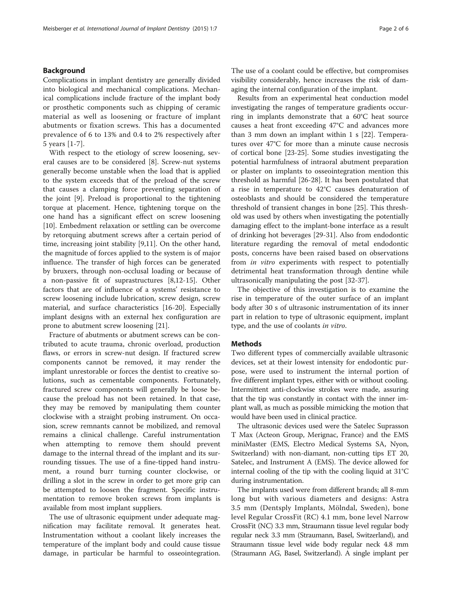## Background

Complications in implant dentistry are generally divided into biological and mechanical complications. Mechanical complications include fracture of the implant body or prosthetic components such as chipping of ceramic material as well as loosening or fracture of implant abutments or fixation screws. This has a documented prevalence of 6 to 13% and 0.4 to 2% respectively after 5 years [[1](#page-5-0)-[7](#page-5-0)].

With respect to the etiology of screw loosening, several causes are to be considered [[8\]](#page-5-0). Screw-nut systems generally become unstable when the load that is applied to the system exceeds that of the preload of the screw that causes a clamping force preventing separation of the joint [[9\]](#page-5-0). Preload is proportional to the tightening torque at placement. Hence, tightening torque on the one hand has a significant effect on screw loosening [[10\]](#page-5-0). Embedment relaxation or settling can be overcome by retorquing abutment screws after a certain period of time, increasing joint stability [\[9,11](#page-5-0)]. On the other hand, the magnitude of forces applied to the system is of major influence. The transfer of high forces can be generated by bruxers, through non-occlusal loading or because of a non-passive fit of suprastructures [\[8,12](#page-5-0)-[15\]](#page-5-0). Other factors that are of influence of a systems' resistance to screw loosening include lubrication, screw design, screw material, and surface characteristics [\[16](#page-5-0)-[20](#page-5-0)]. Especially implant designs with an external hex configuration are prone to abutment screw loosening [\[21\]](#page-5-0).

Fracture of abutments or abutment screws can be contributed to acute trauma, chronic overload, production flaws, or errors in screw-nut design. If fractured screw components cannot be removed, it may render the implant unrestorable or forces the dentist to creative solutions, such as cementable components. Fortunately, fractured screw components will generally be loose because the preload has not been retained. In that case, they may be removed by manipulating them counter clockwise with a straight probing instrument. On occasion, screw remnants cannot be mobilized, and removal remains a clinical challenge. Careful instrumentation when attempting to remove them should prevent damage to the internal thread of the implant and its surrounding tissues. The use of a fine-tipped hand instrument, a round burr turning counter clockwise, or drilling a slot in the screw in order to get more grip can be attempted to loosen the fragment. Specific instrumentation to remove broken screws from implants is available from most implant suppliers.

The use of ultrasonic equipment under adequate magnification may facilitate removal. It generates heat. Instrumentation without a coolant likely increases the temperature of the implant body and could cause tissue damage, in particular be harmful to osseointegration. The use of a coolant could be effective, but compromises visibility considerably, hence increases the risk of damaging the internal configuration of the implant.

Results from an experimental heat conduction model investigating the ranges of temperature gradients occurring in implants demonstrate that a 60°C heat source causes a heat front exceeding 47°C and advances more than 3 mm down an implant within 1 s [\[22](#page-5-0)]. Temperatures over 47°C for more than a minute cause necrosis of cortical bone [\[23](#page-5-0)-[25\]](#page-5-0). Some studies investigating the potential harmfulness of intraoral abutment preparation or plaster on implants to osseointegration mention this threshold as harmful [[26](#page-5-0)-[28\]](#page-5-0). It has been postulated that a rise in temperature to 42°C causes denaturation of osteoblasts and should be considered the temperature threshold of transient changes in bone [[25\]](#page-5-0). This threshold was used by others when investigating the potentially damaging effect to the implant-bone interface as a result of drinking hot beverages [\[29-31](#page-5-0)]. Also from endodontic literature regarding the removal of metal endodontic posts, concerns have been raised based on observations from *in vitro* experiments with respect to potentially detrimental heat transformation through dentine while ultrasonically manipulating the post [\[32-37](#page-5-0)].

The objective of this investigation is to examine the rise in temperature of the outer surface of an implant body after 30 s of ultrasonic instrumentation of its inner part in relation to type of ultrasonic equipment, implant type, and the use of coolants in vitro.

## **Methods**

Two different types of commercially available ultrasonic devices, set at their lowest intensity for endodontic purpose, were used to instrument the internal portion of five different implant types, either with or without cooling. Intermittent anti-clockwise strokes were made, assuring that the tip was constantly in contact with the inner implant wall, as much as possible mimicking the motion that would have been used in clinical practice.

The ultrasonic devices used were the Satelec Suprasson T Max (Acteon Group, Merignac, France) and the EMS miniMaster (EMS, Electro Medical Systems SA, Nyon, Switzerland) with non-diamant, non-cutting tips ET 20, Satelec, and Instrument A (EMS). The device allowed for internal cooling of the tip with the cooling liquid at 31°C during instrumentation.

The implants used were from different brands; all 8-mm long but with various diameters and designs: Astra 3.5 mm (Dentsply Implants, Mölndal, Sweden), bone level Regular CrossFit (RC) 4.1 mm, bone level Narrow CrossFit (NC) 3.3 mm, Straumann tissue level regular body regular neck 3.3 mm (Straumann, Basel, Switzerland), and Straumann tissue level wide body regular neck 4.8 mm (Straumann AG, Basel, Switzerland). A single implant per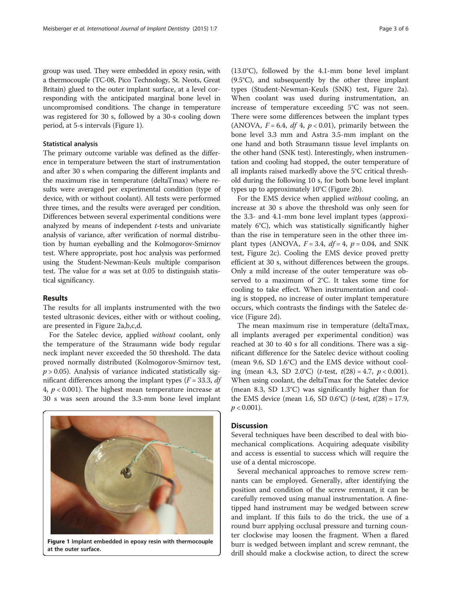group was used. They were embedded in epoxy resin, with a thermocouple (TC-08, Pico Technology, St. Neots, Great Britain) glued to the outer implant surface, at a level corresponding with the anticipated marginal bone level in uncompromised conditions. The change in temperature was registered for 30 s, followed by a 30-s cooling down period, at 5-s intervals (Figure 1).

#### Statistical analysis

The primary outcome variable was defined as the difference in temperature between the start of instrumentation and after 30 s when comparing the different implants and the maximum rise in temperature (deltaTmax) where results were averaged per experimental condition (type of device, with or without coolant). All tests were performed three times, and the results were averaged per condition. Differences between several experimental conditions were analyzed by means of independent t-tests and univariate analysis of variance, after verification of normal distribution by human eyeballing and the Kolmogorov-Smirnov test. Where appropriate, post hoc analysis was performed using the Student-Newman-Keuls multiple comparison test. The value for  $\alpha$  was set at 0.05 to distinguish statistical significancy.

### Results

The results for all implants instrumented with the two tested ultrasonic devices, either with or without cooling, are presented in Figure [2](#page-3-0)a,b,c,d.

For the Satelec device, applied without coolant, only the temperature of the Straumann wide body regular neck implant never exceeded the 50 threshold. The data proved normally distributed (Kolmogorov-Smirnov test,  $p > 0.05$ ). Analysis of variance indicated statistically significant differences among the implant types ( $F = 33.3$ , df 4,  $p < 0.001$ ). The highest mean temperature increase at 30 s was seen around the 3.3-mm bone level implant



Figure 1 Implant embedded in epoxy resin with thermocouple at the outer surface.

(13.0°C), followed by the 4.1-mm bone level implant (9.5°C), and subsequently by the other three implant types (Student-Newman-Keuls (SNK) test, Figure [2a](#page-3-0)). When coolant was used during instrumentation, an increase of temperature exceeding 5°C was not seen. There were some differences between the implant types (ANOVA,  $F = 6.4$ ,  $df = 4$ ,  $p < 0.01$ ), primarily between the bone level 3.3 mm and Astra 3.5-mm implant on the one hand and both Straumann tissue level implants on the other hand (SNK test). Interestingly, when instrumentation and cooling had stopped, the outer temperature of all implants raised markedly above the 5°C critical threshold during the following 10 s, for both bone level implant types up to approximately 10°C (Figure [2](#page-3-0)b).

For the EMS device when applied without cooling, an increase at 30 s above the threshold was only seen for the 3.3- and 4.1-mm bone level implant types (approximately 6°C), which was statistically significantly higher than the rise in temperature seen in the other three implant types (ANOVA,  $F = 3.4$ ,  $df = 4$ ,  $p = 0.04$ , and SNK test, Figure [2c](#page-3-0)). Cooling the EMS device proved pretty efficient at 30 s, without differences between the groups. Only a mild increase of the outer temperature was observed to a maximum of 2°C. It takes some time for cooling to take effect. When instrumentation and cooling is stopped, no increase of outer implant temperature occurs, which contrasts the findings with the Satelec device (Figure [2](#page-3-0)d).

The mean maximum rise in temperature (deltaTmax, all implants averaged per experimental condition) was reached at 30 to 40 s for all conditions. There was a significant difference for the Satelec device without cooling (mean 9.6, SD 1.6°C) and the EMS device without cooling (mean 4.3, SD 2.0°C) (*t*-test,  $t(28) = 4.7$ ,  $p < 0.001$ ). When using coolant, the deltaTmax for the Satelec device (mean 8.3, SD 1.3°C) was significantly higher than for the EMS device (mean 1.6, SD 0.6°C) (*t*-test,  $t(28) = 17.9$ ,  $p < 0.001$ ).

## **Discussion**

Several techniques have been described to deal with biomechanical complications. Acquiring adequate visibility and access is essential to success which will require the use of a dental microscope.

Several mechanical approaches to remove screw remnants can be employed. Generally, after identifying the position and condition of the screw remnant, it can be carefully removed using manual instrumentation. A finetipped hand instrument may be wedged between screw and implant. If this fails to do the trick, the use of a round burr applying occlusal pressure and turning counter clockwise may loosen the fragment. When a flared burr is wedged between implant and screw remnant, the drill should make a clockwise action, to direct the screw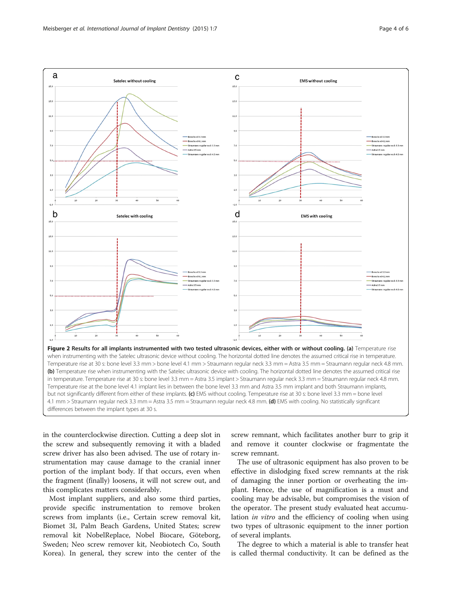

<span id="page-3-0"></span>

in the counterclockwise direction. Cutting a deep slot in the screw and subsequently removing it with a bladed screw driver has also been advised. The use of rotary instrumentation may cause damage to the cranial inner portion of the implant body. If that occurs, even when the fragment (finally) loosens, it will not screw out, and this complicates matters considerably.

Most implant suppliers, and also some third parties, provide specific instrumentation to remove broken screws from implants (i.e., Certain screw removal kit, Biomet 3I, Palm Beach Gardens, United States; screw removal kit NobelReplace, Nobel Biocare, Göteborg, Sweden; Neo screw remover kit, Neobiotech Co, South Korea). In general, they screw into the center of the

screw remnant, which facilitates another burr to grip it and remove it counter clockwise or fragmentate the screw remnant.

The use of ultrasonic equipment has also proven to be effective in dislodging fixed screw remnants at the risk of damaging the inner portion or overheating the implant. Hence, the use of magnification is a must and cooling may be advisable, but compromises the vision of the operator. The present study evaluated heat accumulation in vitro and the efficiency of cooling when using two types of ultrasonic equipment to the inner portion of several implants.

The degree to which a material is able to transfer heat is called thermal conductivity. It can be defined as the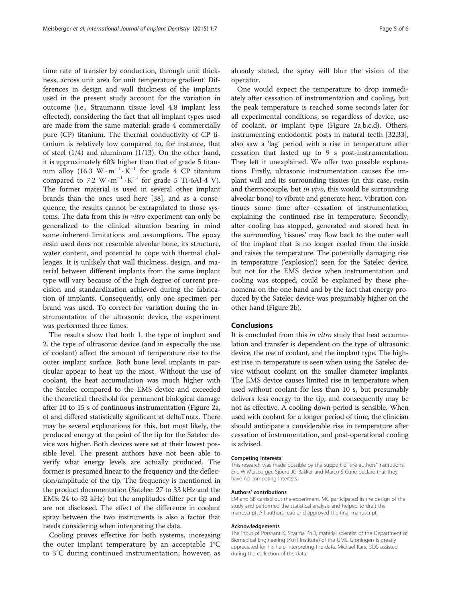time rate of transfer by conduction, through unit thickness, across unit area for unit temperature gradient. Differences in design and wall thickness of the implants used in the present study account for the variation in outcome (i.e., Straumann tissue level 4.8 implant less effected), considering the fact that all implant types used are made from the same material: grade 4 commercially pure (CP) titanium. The thermal conductivity of CP titanium is relatively low compared to, for instance, that of steel (1/4) and aluminum (1/13). On the other hand, it is approximately 60% higher than that of grade 5 titanium alloy (16.3 W · m<sup>-1</sup> · K<sup>-1</sup> for grade 4 CP titanium compared to 7.2 W  $\cdot$  m<sup>-1</sup>  $\cdot$  K<sup>-1</sup> for grade 5 Ti-6Al-4 V). The former material is used in several other implant brands than the ones used here [\[38\]](#page-5-0), and as a consequence, the results cannot be extrapolated to those systems. The data from this in vitro experiment can only be generalized to the clinical situation bearing in mind some inherent limitations and assumptions. The epoxy resin used does not resemble alveolar bone, its structure, water content, and potential to cope with thermal challenges. It is unlikely that wall thickness, design, and material between different implants from the same implant type will vary because of the high degree of current precision and standardization achieved during the fabrication of implants. Consequently, only one specimen per brand was used. To correct for variation during the instrumentation of the ultrasonic device, the experiment was performed three times.

The results show that both 1. the type of implant and 2. the type of ultrasonic device (and in especially the use of coolant) affect the amount of temperature rise to the outer implant surface. Both bone level implants in particular appear to heat up the most. Without the use of coolant, the heat accumulation was much higher with the Satelec compared to the EMS device and exceeded the theoretical threshold for permanent biological damage after 10 to 15 s of continuous instrumentation (Figure [2a](#page-3-0), c) and differed statistically significant at deltaTmax. There may be several explanations for this, but most likely, the produced energy at the point of the tip for the Satelec device was higher. Both devices were set at their lowest possible level. The present authors have not been able to verify what energy levels are actually produced. The former is presumed linear to the frequency and the deflection/amplitude of the tip. The frequency is mentioned in the product documentation (Satelec: 27 to 33 kHz and the EMS: 24 to 32 kHz) but the amplitudes differ per tip and are not disclosed. The effect of the difference in coolant spray between the two instruments is also a factor that needs considering when interpreting the data.

Cooling proves effective for both systems, increasing the outer implant temperature by an acceptable 1°C to 3°C during continued instrumentation; however, as already stated, the spray will blur the vision of the operator.

One would expect the temperature to drop immediately after cessation of instrumentation and cooling, but the peak temperature is reached some seconds later for all experimental conditions, so regardless of device, use of coolant, or implant type (Figure [2](#page-3-0)a,b,c,d). Others, instrumenting endodontic posts in natural teeth [\[32,33](#page-5-0)], also saw a 'lag' period with a rise in temperature after cessation that lasted up to 9 s post-instrumentation. They left it unexplained. We offer two possible explanations. Firstly, ultrasonic instrumentation causes the implant wall and its surrounding tissues (in this case, resin and thermocouple, but *in vivo*, this would be surrounding alveolar bone) to vibrate and generate heat. Vibration continues some time after cessation of instrumentation, explaining the continued rise in temperature. Secondly, after cooling has stopped, generated and stored heat in the surrounding 'tissues' may flow back to the outer wall of the implant that is no longer cooled from the inside and raises the temperature. The potentially damaging rise in temperature ('explosion') seen for the Satelec device, but not for the EMS device when instrumentation and cooling was stopped, could be explained by these phenomena on the one hand and by the fact that energy produced by the Satelec device was presumably higher on the other hand (Figure [2](#page-3-0)b).

## Conclusions

It is concluded from this *in vitro* study that heat accumulation and transfer is dependent on the type of ultrasonic device, the use of coolant, and the implant type. The highest rise in temperature is seen when using the Satelec device without coolant on the smaller diameter implants. The EMS device causes limited rise in temperature when used without coolant for less than 10 s, but presumably delivers less energy to the tip, and consequently may be not as effective. A cooling down period is sensible. When used with coolant for a longer period of time, the clinician should anticipate a considerable rise in temperature after cessation of instrumentation, and post-operational cooling is advised.

#### Competing interests

This research was made possible by the support of the authors' institutions. Eric W Meisberger, Sjoerd JG Bakker and Marco S Cune declare that they have no competing interests.

#### Authors' contributions

EM and SB carried out the experiment. MC participated in the design of the study and performed the statistical analysis and helped to draft the manuscript. All authors read and approved the final manuscript.

#### Acknowledgements

The input of Prashant K. Sharma PhD, material scientist of the Department of Biomedical Engineering (Kolff Institute) of the UMC Groningen is greatly appreciated for his help interpreting the data. Michael Kars, DDS assisted during the collection of the data.